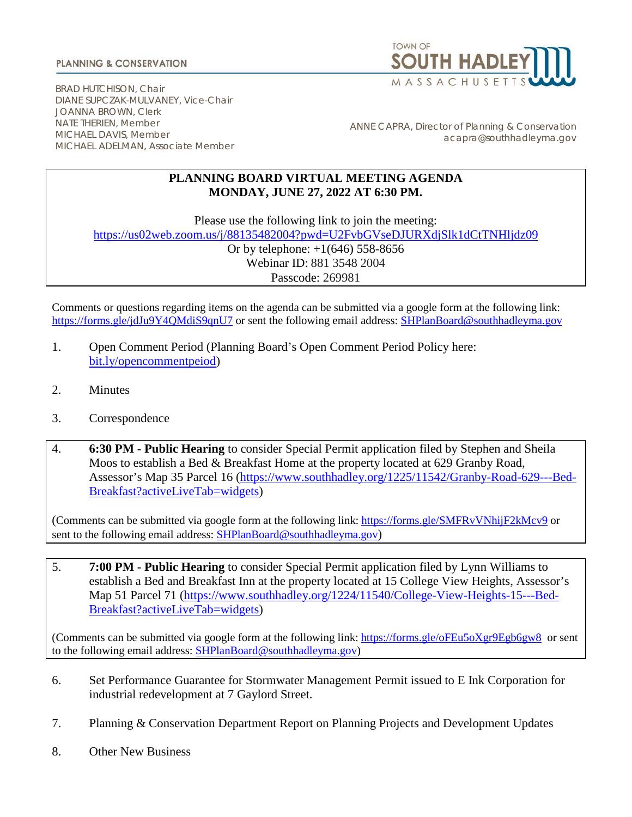## **PLANNING & CONSERVATION**



BRAD HUTCHISON, Chair DIANE SUPCZAK-MULVANEY, Vice-Chair JOANNA BROWN, Clerk NATE THERIEN, Member MICHAEL DAVIS, Member MICHAEL ADELMAN, Associate Member

ANNE CAPRA, Director of Planning & Conservation acapra@southhadleyma.gov

## **PLANNING BOARD VIRTUAL MEETING AGENDA MONDAY, JUNE 27, 2022 AT 6:30 PM.**

Please use the following link to join the meeting:

<https://us02web.zoom.us/j/88135482004?pwd=U2FvbGVseDJURXdjSlk1dCtTNHljdz09>

Or by telephone:  $+1(646)$  558-8656 Webinar ID: 881 3548 2004 Passcode: 269981

Comments or questions regarding items on the agenda can be submitted via a google form at the following link: <https://forms.gle/jdJu9Y4QMdiS9qnU7> or sent the following email address: [SHPlanBoard@southhadleyma.gov](mailto:SHPlanBoard@southhadleyma.gov)

- 1. Open Comment Period (Planning Board's Open Comment Period Policy here[:](https://www.southhadley.org/DocumentCenter/View/8160/Policy-on-Open-Comment-Period---As-Adopted-2021-03-08?bidId=) [bit.ly/opencommentpeiod\)](https://www.southhadley.org/DocumentCenter/View/8160/Policy-on-Open-Comment-Period---As-Adopted-2021-03-08?bidId=)
- 2. Minutes
- 3. Correspondence
- 4. **6:30 PM - Public Hearing** to consider Special Permit application filed by Stephen and Sheila Moos to establish a Bed & Breakfast Home at the property located at 629 Granby Road, Assessor's Map 35 Parcel 16 [\(https://www.southhadley.org/1225/11542/Granby-Road-629---Bed-](https://www.southhadley.org/1225/11542/Granby-Road-629---Bed-Breakfast?activeLiveTab=widgets)[Breakfast?activeLiveTab=widgets\)](https://www.southhadley.org/1225/11542/Granby-Road-629---Bed-Breakfast?activeLiveTab=widgets)

(Comments can be submitted via google form at the following link: <https://forms.gle/SMFRvVNhijF2kMcv9> or sent to the following email address: [SHPlanBoard@southhadleyma.gov\)](mailto:SHPlanBoard@southhadleyma.gov)

5. **7:00 PM - Public Hearing** to consider Special Permit application filed by Lynn Williams to establish a Bed and Breakfast Inn at the property located at 15 College View Heights, Assessor's Map 51 Parcel 71 [\(https://www.southhadley.org/1224/11540/College-View-Heights-15---Bed-](https://www.southhadley.org/1224/11540/College-View-Heights-15---Bed-Breakfast?activeLiveTab=widgets)[Breakfast?activeLiveTab=widgets\)](https://www.southhadley.org/1224/11540/College-View-Heights-15---Bed-Breakfast?activeLiveTab=widgets)

(Comments can be submitted via google form at the following link: <https://forms.gle/oFEu5oXgr9Egb6gw8> or sent to the following email address: **SHPlanBoard@southhadleyma.gov**)

- 6. Set Performance Guarantee for Stormwater Management Permit issued to E Ink Corporation for industrial redevelopment at 7 Gaylord Street.
- 7. Planning & Conservation Department Report on Planning Projects and Development Updates
- 8. Other New Business